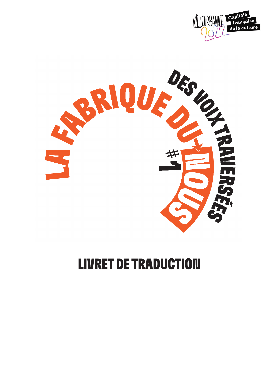



# LIVRET DE TRADUCTION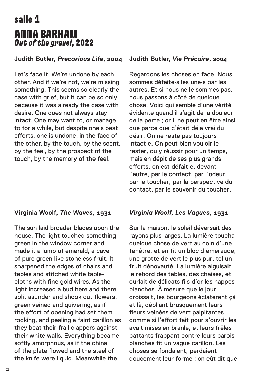# salle 1 ANNA BARHAM *Out of the gravel*, 2022

#### **Judith Butler,** *Precarious Life***, 2004**

Let's face it. We're undone by each other. And if we're not, we're missing something. This seems so clearly the case with grief, but it can be so only because it was already the case with desire. One does not always stay intact. One may want to, or manage to for a while, but despite one's best efforts, one is undone, in the face of the other, by the touch, by the scent, by the feel, by the prospect of the touch, by the memory of the feel.

#### **Virginia Woolf,** *The Waves***, 1931**

The sun laid broader blades upon the house. The light touched something green in the window corner and made it a lump of emerald, a cave of pure green like stoneless fruit. It sharpened the edges of chairs and tables and stitched white tablecloths with fine gold wires. As the light increased a bud here and there split asunder and shook out flowers, green veined and quivering, as if the effort of opening had set them rocking, and pealing a faint carillon as they beat their frail clappers against their white walls. Everything became softly amorphous, as if the china of the plate flowed and the steel of the knife were liquid. Meanwhile the

#### **Judith Butler,** *Vie Précaire***, 2004**

Regardons les choses en face. Nous sommes défaite·s les une·s par les autres. Et si nous ne le sommes pas, nous passons à côté de quelque chose. Voici qui semble d'une vérité évidente quand il s'agit de la douleur de la perte ; or il ne peut en être ainsi que parce que c'était déjà vrai du désir. On ne reste pas toujours intact·e. On peut bien vouloir le rester, ou y réussir pour un temps, mais en dépit de ses plus grands efforts, on est défait·e, devant l'autre, par le contact, par l'odeur, par le toucher, par la perspective du contact, par le souvenir du toucher.

#### *Virginia Woolf, Les Vagues***, 1931**

Sur la maison, le soleil déversait des rayons plus larges. La lumière toucha quelque chose de vert au coin d'une fenêtre, et en fit un bloc d'émeraude, une grotte de vert le plus pur, tel un fruit dénoyauté. La lumière aiguisait le rebord des tables, des chaises, et ourlait de délicats fils d'or les nappes blanches. À mesure que le jour croissait, les bourgeons éclatèrent çà et là, dépliant brusquement leurs fleurs veinées de vert palpitantes comme si l'effort fait pour s'ouvrir les avait mises en branle, et leurs frêles battants frappant contre leurs parois blanches fit un vague carillon. Les choses se fondaient, perdaient doucement leur forme ; on eût dit que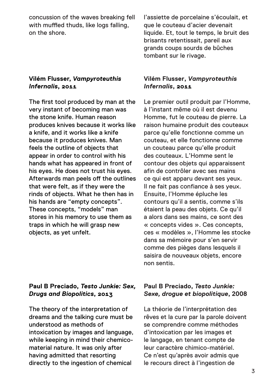concussion of the waves breaking fell with muffled thuds, like logs falling, on the shore.

#### **Vilém Flusser,** *Vampyroteuthis Infernalis***, 2011**

The first tool produced by man at the very instant of becoming man was the stone knife. Human reason produces knives because it works like a knife, and it works like a knife because it produces knives. Man feels the outline of objects that appear in order to control with his hands what has appeared in front of his eyes. He does not trust his eyes. Afterwards man peels off the outlines that were felt, as if they were the rinds of objects. What he then has in his hands are "empty concepts". These concepts, "models" man stores in his memory to use them as traps in which he will grasp new objects, as yet unfelt.

#### **Paul B Preciado,** *Testo Junkie: Sex, Drugs and Biopolitics***, 2013**

The theory of the interpretation of dreams and the talking cure must be understood as methods of intoxication by images and language, while keeping in mind their chemicomaterial nature. It was only after having admitted that resorting directly to the ingestion of chemical

l'assiette de porcelaine s'écoulait, et que le couteau d'acier devenait liquide. Et, tout le temps, le bruit des brisants retentissait, pareil aux grands coups sourds de bûches tombant sur le rivage.

#### **Vilém Flusser,** *Vampyroteuthis Infernalis***, 2011**

Le premier outil produit par l'Homme, à l'instant même où il est devenu Homme, fut le couteau de pierre. La raison humaine produit des couteaux parce qu'elle fonctionne comme un couteau, et elle fonctionne comme un couteau parce qu'elle produit des couteaux. L'Homme sent le contour des objets qui apparaissent afin de contrôler avec ses mains ce qui est apparu devant ses yeux. Il ne fait pas confiance à ses yeux. Ensuite, l'Homme épluche les contours qu'il a sentis, comme s'ils étaient la peau des objets. Ce qu'il a alors dans ses mains, ce sont des « concepts vides ». Ces concepts, ces « modèles », l'Homme les stocke dans sa mémoire pour s'en servir comme des pièges dans lesquels il saisira de nouveaux objets, encore non sentis.

#### **Paul B Preciado,** *Testo Junkie: Sexe, drogue et biopolitique***, 2008**

La théorie de l'interprétation des rêves et la cure par la parole doivent se comprendre comme méthodes d'intoxication par les images et le langage, en tenant compte de leur caractère chimico-matériel. Ce n'est qu'après avoir admis que le recours direct à l'ingestion de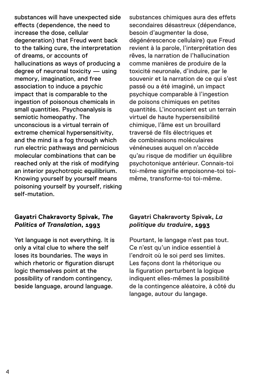substances will have unexpected side effects (dependence, the need to increase the dose, cellular degeneration) that Freud went back to the talking cure, the interpretation of dreams, or accounts of hallucinations as ways of producing a degree of neuronal toxicity — using memory, imagination, and free association to induce a psychic impact that is comparable to the ingestion of poisonous chemicals in small quantities. Psychoanalysis is semiotic homeopathy. The unconscious is a virtual terrain of extreme chemical hypersensitivity, and the mind is a fog through which run electric pathways and pernicious molecular combinations that can be reached only at the risk of modifying an interior psychotropic equilibrium. Knowing yourself by yourself means poisoning yourself by yourself, risking self-mutation.

substances chimiques aura des effets secondaires désastreux (dépendance, besoin d'augmenter la dose, dégénérescence cellulaire) que Freud revient à la parole, l'interprétation des rêves, la narration de l'hallucination comme manières de produire de la toxicité neuronale, d'induire, par le souvenir et la narration de ce qui s'est passé ou a été imaginé, un impact psychique comparable à l'ingestion de poisons chimiques en petites quantités. L'inconscient est un terrain virtuel de haute hypersensibilité chimique, l'âme est un brouillard traversé de fils électriques et de combinaisons moléculaires vénéneuses auquel on n'accède qu'au risque de modifier un équilibre psychotonique antérieur. Connais-toi toi-même signifie empoisonne-toi toimême, transforme-toi toi-même.

#### **Gayatri Chakravorty Spivak,** *The Politics of Translation***, 1993**

Yet language is not everything. It is only a vital clue to where the self loses its boundaries. The ways in which rhetoric or figuration disrupt logic themselves point at the possibility of random contingency, beside language, around language.

#### **Gayatri Chakravorty Spivak,** *La politique du traduire***, 1993**

Pourtant, le langage n'est pas tout. Ce n'est qu'un indice essentiel à l'endroit où le soi perd ses limites. Les facons dont la rhétorique ou la figuration perturbent la logique indiquent elles-mêmes la possibilité de la contingence aléatoire, à côté du langage, autour du langage.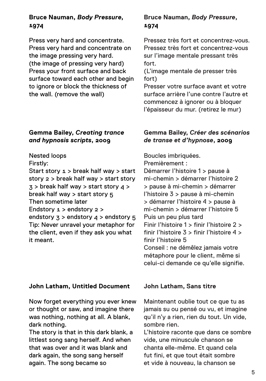#### **Bruce Nauman,** *Body Pressure***, 1974**

Press very hard and concentrate. Press very hard and concentrate on the image pressing very hard. (the image of pressing very hard) Press your front surface and back surface toward each other and begin to ignore or block the thickness of the wall. (remove the wall)

#### **Gemma Bailey,** *Creating trance and hypnosis scripts***, 2009**

Nested loops

Firstly:

Start story 1 > break half way > start story 2 > break half way > start story  $3 > b$  reak half way  $>$  start story  $4 > b$ break half way > start story 5 Then sometime later Endstory 1 > endstory 2 > endstory  $3 >$  endstory  $4 >$  endstory  $5$ Tip: Never unravel your metaphor for the client, even if they ask you what it meant.

#### **John Latham, Untitled Document**

Now forget everything you ever knew or thought or saw, and imagine there was nothing, nothing at all. A blank, dark nothing.

The story is that in this dark blank, a littlest song sang herself. And when that was over and it was blank and dark again, the song sang herself again. The song became so

#### **Bruce Nauman,** *Body Pressure***, 1974**

Pressez très fort et concentrez-vous. Pressez très fort et concentrez-vous sur l'image mentale pressant très fort.

(L'image mentale de presser très fort)

Presser votre surface avant et votre surface arrière l'une contre l'autre et commencez à ignorer ou à bloquer l'épaisseur du mur. (retirez le mur)

#### **Gemma Bailey,** *Créer des scénarios de transe et d'hypnose***, 2009**

Boucles imbriquées. Premièrement : Démarrer l'histoire 1 > pause à mi-chemin > démarrer l'histoire 2 > pause à mi-chemin > démarrer l'histoire 3 > pause à mi-chemin > démarrer l'histoire 4 > pause à mi-chemin > démarrer l'histoire 5 Puis un peu plus tard Finir l'histoire 1 > finir l'histoire 2 > finir l'histoire 3 > finir l'histoire 4 > finir l'histoire 5 Conseil : ne démêlez jamais votre métaphore pour le client, même si celui-ci demande ce qu'elle signifie.

#### **John Latham, Sans titre**

Maintenant oublie tout ce que tu as jamais su ou pensé ou vu, et imagine qu'il n'y a rien, rien du tout. Un vide, sombre rien.

L'histoire raconte que dans ce sombre vide, une minuscule chanson se chanta elle-même. Et quand cela fut fini, et que tout était sombre et vide à nouveau, la chanson se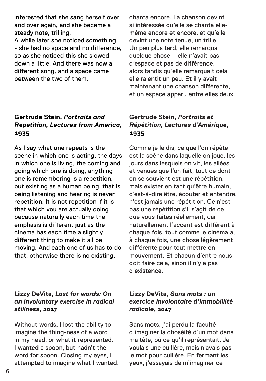interested that she sang herself over and over again, and she became a steady note, trilling.

A while later she noticed something - she had no space and no difference, so as she noticed this she slowed down a little. And there was now a different song, and a space came between the two of them.

#### **Gertrude Stein,** *Portraits and Repetition, Lectures from America***, 1935**

As I say what one repeats is the scene in which one is acting, the days in which one is living, the coming and going which one is doing, anything one is remembering is a repetition, but existing as a human being, that is being listening and hearing is never repetition. It is not repetition if it is that which you are actually doing because naturally each time the emphasis is different just as the cinema has each time a slightly different thing to make it all be moving. And each one of us has to do that, otherwise there is no existing.

#### **Lizzy DeVita,** *Lost for words: On an involuntary exercise in radical stillness***, 2017**

Without words, I lost the ability to imagine the thing-ness of a word in my head, or what it represented. I wanted a spoon, but hadn't the word for spoon. Closing my eyes, I attempted to imagine what I wanted.

chanta encore. La chanson devint si intéressée qu'elle se chanta ellemême encore et encore, et qu'elle devint une note tenue, un trille. Un peu plus tard, elle remarqua quelque chose – elle n'avait pas d'espace et pas de différence, alors tandis qu'elle remarquait cela elle ralentit un peu. Et il y avait maintenant une chanson différente, et un espace apparu entre elles deux.

#### **Gertrude Stein,** *Portraits et Répétition, Lectures d'Amérique***, 1935**

Comme je le dis, ce que l'on répète est la scène dans laquelle on joue, les jours dans lesquels on vit, les allées et venues que l'on fait, tout ce dont on se souvient est une répétition, mais exister en tant qu'être humain, c'est-à-dire être, écouter et entendre, n'est jamais une répétition. Ce n'est pas une répétition s'il s'agit de ce que vous faites réellement, car naturellement l'accent est différent à chaque fois, tout comme le cinéma a, à chaque fois, une chose légèrement différente pour tout mettre en mouvement. Et chacun d'entre nous doit faire cela, sinon il n'y a pas d'existence.

#### **Lizzy DeVita,** *Sans mots : un exercice involontaire d'immobillité radicale***, 2017**

Sans mots, j'ai perdu la faculté d'imaginer la choséité d'un mot dans ma tête, où ce qu'il représentait. Je voulais une cuillère, mais n'avais pas le mot pour cuillère. En fermant les yeux, j'essayais de m'imaginer ce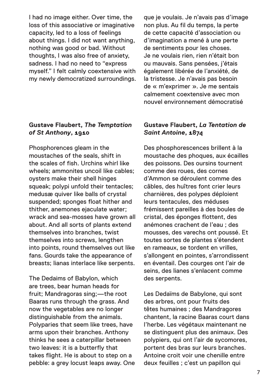I had no image either. Over time, the loss of this associative or imaginative capacity, led to a loss of feelings about things. I did not want anything, nothing was good or bad. Without thoughts, I was also free of anxiety, sadness. I had no need to "express myself." I felt calmly coextensive with my newly democratized surroundings.

#### **Gustave Flaubert,** *The Temptation of St Anthony***, 1910**

Phosphorences gleam in the moustaches of the seals, shift in the scales of fish. Urchins whirl like wheels; ammonites uncoil like cables; oysters make their shell hinges squeak; polypi unfold their tentacles; medusæ quiver like balls of crystal suspended; sponges float hither and thither, anemones ejaculate water; wrack and sea-mosses have grown all about. And all sorts of plants extend themselves into branches, twist themselves into screws, lengthen into points, round themselves out like fans. Gourds take the appearance of breasts; lianas interlace like serpents.

The Dedaims of Babylon, which are trees, bear human heads for fruit; Mandragoras sing;—the root Baaras runs through the grass. And now the vegetables are no longer distinguishable from the animals. Polyparies that seem like trees, have arms upon their branches. Anthony thinks he sees a caterpillar between two leaves: it is a butterfly that takes flight. He is about to step on a pebble: a grey locust leaps away. One que je voulais. Je n'avais pas d'image non plus. Au fil du temps, la perte de cette capacité d'association ou d'imagination a mené à une perte de sentiments pour les choses. Je ne voulais rien, rien n'était bon ou mauvais. Sans pensées, j'étais également libérée de l'anxiété, de la tristesse. Je n'avais pas besoin de « m'exprimer ». Je me sentais calmement coextensive avec mon nouvel environnement démocratisé

#### **Gustave Flaubert,** *La Tentation de Saint Antoine***, 1874**

Des phosphorescences brillent à la moustache des phoques, aux écailles des poissons. Des oursins tournent comme des roues, des cornes d'Ammon se déroulent comme des câbles, des huîtres font crier leurs charnières, des polypes déploient leurs tentacules, des méduses frémissent pareilles à des boules de cristal, des éponges flottent, des anémones crachent de l'eau ; des mousses, des varechs ont poussé. Et toutes sortes de plantes s'étendent en rameaux, se tordent en vrilles, s'allongent en pointes, s'arrondissent en éventail. Des courges ont l'air de seins, des lianes s'enlacent comme des serpents.

Les Dedaïms de Babylone, qui sont des arbres, ont pour fruits des têtes humaines ; des Mandragores chantent, la racine Baaras court dans l'herbe. Les végétaux maintenant ne se distinguent plus des animaux. Des polypiers, qui ont l'air de sycomores, portent des bras sur leurs branches. Antoine croit voir une chenille entre deux feuilles ; c'est un papillon qui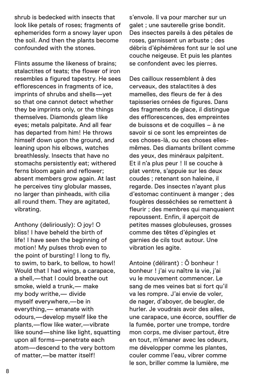shrub is bedecked with insects that look like petals of roses; fragments of ephemerides form a snowy layer upon the soil. And then the plants become confounded with the stones.

Flints assume the likeness of brains; stalactites of teats; the flower of iron resembles a figured tapestry. He sees efflorescences in fragments of ice, imprints of shrubs and shells—yet so that one cannot detect whether they be imprints only, or the things themselves. Diamonds gleam like eyes; metals palpitate. And all fear has departed from him! He throws himself down upon the ground, and leaning upon his elbows, watches breathlessly. Insects that have no stomachs persistently eat; withered ferns bloom again and reflower; absent members grow again. At last he perceives tiny globular masses, no larger than pinheads, with cilia all round them. They are agitated, vibrating.

Anthony (deliriously): O joy! O bliss! I have beheld the birth of life! I have seen the beginning of motion! My pulses throb even to the point of bursting! I long to fly, to swim, to bark, to bellow, to howl! Would that I had wings, a carapace, a shell,—that I could breathe out smoke, wield a trunk,— make my body writhe,— divide myself everywhere,—be in everything,— emanate with odours,—develop myself like the plants,—flow like water,—vibrate like sound—shine like light, squatting upon all forms—penetrate each atom—descend to the very bottom of matter,—be matter itself!

s'envole. Il va pour marcher sur un galet ; une sauterelle grise bondit. Des insectes pareils à des pétales de roses, garnissent un arbuste ; des débris d'éphémères font sur le sol une couche neigeuse. Et puis les plantes se confondent avec les pierres.

Des cailloux ressemblent à des cerveaux, des stalactites à des mamelles, des fleurs de fer à des tapisseries ornées de figures. Dans des fragments de glace, il distingue des efflorescences, des empreintes de buissons et de coquilles – à ne savoir si ce sont les empreintes de ces choses-là, ou ces choses ellesmêmes. Des diamants brillent comme des yeux, des minéraux palpitent. Et il n'a plus peur ! Il se couche à plat ventre, s'appuie sur les deux coudes ; retenant son haleine, il regarde. Des insectes n'ayant plus d'estomac continuent à manger ; des fougères desséchées se remettent à fleurir : des membres qui manquaient repoussent. Enfin, il aperçoit de petites masses globuleuses, grosses comme des têtes d'épingles et garnies de cils tout autour. Une vibration les agite.

Antoine (délirant) : Ô bonheur ! bonheur ! j'ai vu naître la vie, j'ai vu le mouvement commencer. Le sang de mes veines bat si fort qu'il va les rompre. J'ai envie de voler, de nager, d'aboyer, de beugler, de hurler. Je voudrais avoir des ailes, une carapace, une écorce, souffler de la fumée, porter une trompe, tordre mon corps, me diviser partout, être en tout, m'émaner avec les odeurs, me développer comme les plantes, couler comme l'eau, vibrer comme le son, briller comme la lumière, me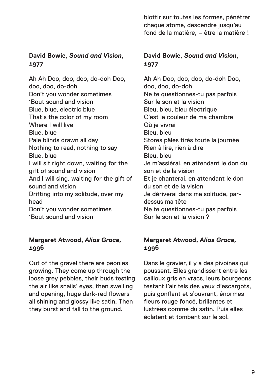blottir sur toutes les formes, pénétrer chaque atome, descendre jusqu'au fond de la matière, – être la matière !

#### **David Bowie,** *Sound and Vision***, 1977**

Ah Ah Doo, doo, doo, do-doh Doo, doo, doo, do-doh Don't you wonder sometimes 'Bout sound and vision Blue, blue, electric blue That's the color of my room Where I will live Blue, blue Pale blinds drawn all day Nothing to read, nothing to say Blue, blue I will sit right down, waiting for the gift of sound and vision And I will sing, waiting for the gift of sound and vision Drifting into my solitude, over my head Don't you wonder sometimes 'Bout sound and vision

#### **Margaret Atwood,** *Alias Grace,*  **1996**

Out of the gravel there are peonies growing. They come up through the loose grey pebbles, their buds testing the air like snails' eyes, then swelling and opening, huge dark-red flowers all shining and glossy like satin. Then they burst and fall to the ground.

#### **David Bowie,** *Sound and Vision***, 1977**

Ah Ah Doo, doo, doo, do-doh Doo, doo, doo, do-doh Ne te questionnes-tu pas parfois Sur le son et la vision Bleu, bleu, bleu électrique C'est la couleur de ma chambre Où je vivrai Bleu, bleu Stores pâles tirés toute la journée Rien à lire, rien à dire Bleu, bleu Je m'assiérai, en attendant le don du son et de la vision Et je chanterai, en attendant le don du son et de la vision Je dériverai dans ma solitude, pardessus ma tête Ne te questionnes-tu pas parfois Sur le son et la vision ?

#### **Margaret Atwood,** *Alias Grace,* **1996**

Dans le gravier, il y a des pivoines qui poussent. Elles grandissent entre les cailloux gris en vracs, leurs bourgeons testant l'air tels des yeux d'escargots, puis gonflant et s'ouvrant, énormes fleurs rouge foncé, brillantes et lustrées comme du satin. Puis elles éclatent et tombent sur le sol.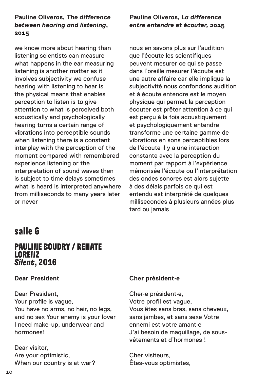#### **Pauline Oliveros,** *The difference between hearing and listening***, 2015**

we know more about hearing than listening scientists can measure what happens in the ear measuring listening is another matter as it involves subjectivity we confuse hearing with listening to hear is the physical means that enables perception to listen is to give attention to what is perceived both acoustically and psychologically hearing turns a certain range of vibrations into perceptible sounds when listening there is a constant interplay with the perception of the moment compared with remembered experience listening or the interpretation of sound waves then is subject to time delays sometimes what is heard is interpreted anywhere from milliseconds to many years later or never

#### **Pauline Oliveros,** *La difference entre entendre et écouter,* **2015**

nous en savons plus sur l'audition que l'écoute les scientifiques peuvent mesurer ce qui se passe dans l'oreille mesurer l'écoute est une autre affaire car elle implique la subjectivité nous confondons audition et à écoute entendre est le moyen physique qui permet la perception écouter est prêter attention à ce qui est perçu à la fois acoustiquement et psychologiquement entendre transforme une certaine gamme de vibrations en sons perceptibles lors de l'écoute il y a une interaction constante avec la perception du moment par rapport à l'expérience mémorisée l'écoute ou l'interprétation des ondes sonores est alors sujette à des délais parfois ce qui est entendu est interprété de quelques millisecondes à plusieurs années plus tard ou jamais

# salle 6

### PAULINE BOUDRY / RENATE LORENZ *Silent*, 2016

#### **Dear President**

Dear President, Your profile is vague, You have no arms, no hair, no legs, and no sex Your enemy is your lover I need make-up, underwear and hormones!

Dear visitor, Are your optimistic, When our country is at war?

#### **Cher président·e**

Cher·e président·e, Votre profil est vague, Vous êtes sans bras, sans cheveux, sans jambes, et sans sexe Votre ennemi est votre amant·e J'ai besoin de maquillage, de sousvêtements et d'hormones !

Cher visiteurs, Êtes-vous optimistes,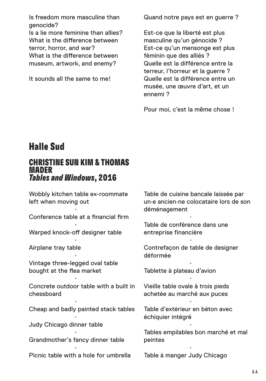Is freedom more masculine than genocide? Is a lie more feminine than allies? What is the difference between terror, horror, and war? What is the difference between museum, artwork, and enemy?

It sounds all the same to me!

Quand notre pays est en guerre ?

Est-ce que la liberté est plus masculine qu'un génocide ? Est-ce qu'un mensonge est plus féminin que des alliés ? Quelle est la différence entre la terreur, l'horreur et la guerre ? Quelle est la différence entre un musée, une œuvre d'art, et un ennemi ?

Pour moi, c'est la même chose !

## Halle Sud

#### CHRISTINE SUN KIM & THOMAS MADER *Tables and Windows*, 2016

Wobbly kitchen table ex-roommate left when moving out

Conference table at a financial firm

Warped knock-off designer table

 **·** Airplane tray table **·**

**·**

**·**

**·**

**·**

**·**

**·**

**·**

Vintage three-legged oval table bought at the flea market

Concrete outdoor table with a built in chessboard

Cheap and badly painted stack tables

Judy Chicago dinner table

Grandmother's fancy dinner table

Picnic table with a hole for umbrella

Table de cuisine bancale laissée par un·e ancien·ne colocataire lors de son déménagement

Table de conférence dans une entreprise financière

**·**

**·**

**·**

**·**

**·**

**·**

**·**

Contrefaçon de table de designer déformée

Tablette à plateau d'avion

Vieille table ovale à trois pieds achetée au marché aux puces

Table d'extérieur en béton avec échiquier intégré

Tables empilables bon marché et mal peintes

Table à manger Judy Chicago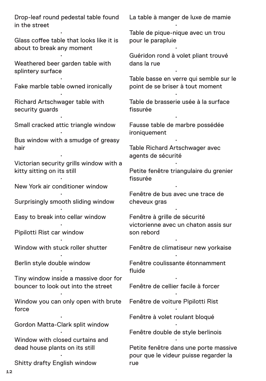Drop-leaf round pedestal table found in the street

Glass coffee table that looks like it is about to break any moment

**·**

**·**

**·**

**·**

**·**

**·**

**·**

**·**

**·**

**·**

**·**

**·**

**·**

**·**

**·**

**·**

**·**

**·**

Weathered beer garden table with splintery surface

Fake marble table owned ironically

Richard Artschwager table with security guards

Small cracked attic triangle window

Bus window with a smudge of greasy hair

Victorian security grills window with a kitty sitting on its still

New York air conditioner window

Surprisingly smooth sliding window

Easy to break into cellar window

Pipilotti Rist car window

Window with stuck roller shutter

Berlin style double window

Tiny window inside a massive door for bouncer to look out into the street

Window you can only open with brute force

Gordon Matta-Clark split window

Window with closed curtains and dead house plants on its still

Shitty drafty English window

La table à manger de luxe de mamie

Table de pique-nique avec un trou pour le parapluie

**·**

**·**

**·**

**·**

**·**

**·**

**·**

**·**

**·**

**·**

**·**

**·**

**·**

**·**

**·**

**·**

Guéridon rond à volet pliant trouvé dans la rue

Table basse en verre qui semble sur le point de se briser à tout moment

Table de brasserie usée à la surface fissurée

Fausse table de marbre possédée ironiquement

Table Richard Artschwager avec agents de sécurité

Petite fenêtre triangulaire du grenier fissurée

Fenêtre de bus avec une trace de cheveux gras

Fenêtre à grille de sécurité victorienne avec un chaton assis sur son rebord

Fenêtre de climatiseur new yorkaise

Fenêtre coulissante étonnamment fluide

Fenêtre de cellier facile à forcer

Fenêtre de voiture Pipilotti Rist

Fenêtre à volet roulant bloqué

Fenêtre double de style berlinois

Petite fenêtre dans une porte massive pour que le videur puisse regarder la rue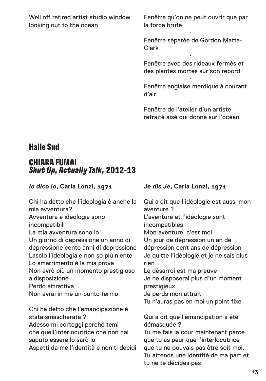Well off retired artist studio window looking out to the ocean

Fenêtre qu'on ne peut ouvrir que par la force brute

Fenêtre séparée de Gordon Matta-Clark

**·**

**·**

**·**

Fenêtre avec des rideaux fermés et des plantes mortes sur son rebord

 **·** Fenêtre anglaise merdique à courant d'air

Fenêtre de l'atelier d'un artiste retraité aisé qui donne sur l'océan

### Halle Sud

### CHIARA FUMAI *Shut Up, Actually Talk,* 2012-13

#### *Io dico Io***, Carla Lonzi, 1971**

Chi ha detto che l'ideologia è anche la mia avventura? Avventura e ideologia sono incompatibili La mia avventura sono io Un giorno di depressione un anno di depressione cento anni di depressione Lascio l'ideologia e non so più niente Lo smarrimento è la mia prova Non avrò più un momento prestigioso a disposizione Perdo attrattiva Non avrai in me un punto fermo Chi ha detto che l'emancipazione è

stata smascherata ? Adesso mi corteggi perché temi che quell'interlocutrice che non hai saputo essere lo sarò io Aspetti da me l'identità e non ti decidi

#### *Je dis Je***, Carla Lonzi, 1971**

Qui a dit que l'idéologie est aussi mon aventure ? L'aventure et l'idéologie sont incompatibles Mon aventure, c'est moi Un jour de dépression un an de dépression cent ans de dépression Je quitte l'idéologie et je ne sais plus rien Le désarroi est ma preuve Je ne disposerai plus d'un moment prestigieux Je perds mon attrait Tu n'auras pas en moi un point fixe Qui a dit que l'émancipation a été démasquée ? Tu me fais la cour maintenant parce que tu as peur que l'interlocutrice

que tu ne pouvais pas être soit moi. Tu attends une identité de ma part et tu ne te décides pas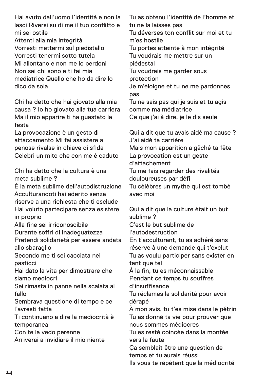Hai avuto dall'uomo l'identità e non la lasci Riversi su di me il tuo conflitto e mi sei ostile

Attenti alla mia integrità

Vorresti mettermi sul piedistallo Vorresti tenermi sotto tutela Mi allontano e non me lo perdoni Non sai chi sono e ti fai mia mediatrice Quello che ho da dire lo dico da sola

Chi ha detto che hai giovato alla mia causa ? Io ho giovato alla tua carriera Ma il mio apparire ti ha guastato la festa

La provocazione è un gesto di attaccamento Mi fai assistere a penose rivalse in chiave di sfida Celebri un mito che con me è caduto

Chi ha detto che la cultura è una meta sublime ?

È la meta sublime dell'autodistruzione Acculturandoti hai aderito senza riserve a una richiesta che ti esclude Hai voluto partecipare senza esistere in proprio

Alla fine sei irriconoscibile

Durante soffri di inadeguatezza

Pretendi solidarietà per essere andata allo sbaraglio

Secondo me ti sei cacciata nei pasticci

Hai dato la vita per dimostrare che siamo mediocri

Sei rimasta in panne nella scalata al fallo

Sembrava questione di tempo e ce l'avresti fatta

Ti continuano a dire la mediocrità è temporanea

Con te la vedo perenne

Arriverai a invidiare il mio niente

Tu as obtenu l'identité de l'homme et tu ne la laisses pas

Tu déverses ton conflit sur moi et tu m'es hostile

Tu portes atteinte à mon intégrité Tu voudrais me mettre sur un piédestal

Tu voudrais me garder sous protection

Je m'éloigne et tu ne me pardonnes pas

Tu ne sais pas qui je suis et tu agis comme ma médiatrice Ce que j'ai à dire, je le dis seule

Qui a dit que tu avais aidé ma cause ? J'ai aidé ta carrière Mais mon apparition a gâché ta fête La provocation est un geste d'attachement Tu me fais regarder des rivalités

douloureuses par défi Tu célèbres un mythe qui est tombé avec moi

Qui a dit que la culture était un but sublime ? C'est le but sublime de

l'autodestruction

En t'acculturant, tu as adhéré sans réserve à une demande qui t'exclut Tu as voulu participer sans exister en tant que tel

À la fin, tu es méconnaissable Pendant ce temps tu souffres d'insuffisance

Tu réclames la solidarité pour avoir dérapé

À mon avis, tu t'es mise dans le pétrin Tu as donné ta vie pour prouver que nous sommes médiocres

Tu es resté coincée dans la montée vers la faute

Ça semblait être une question de temps et tu aurais réussi

Ils vous te répètent que la médiocrité